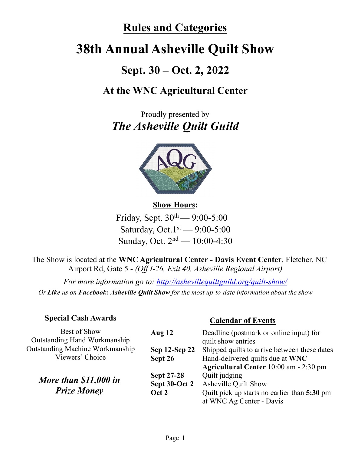## **Rules and Categories**

# **38th Annual Asheville Quilt Show**

### **Sept. 30 – Oct. 2, 2022**

### **At the WNC Agricultural Center**

Proudly presented by *The Asheville Quilt Guild*



#### **Show Hours:**

Friday, Sept.  $30^{th} - 9:00-5:00$ Saturday, Oct.  $1^{st}$  — 9:00-5:00 Sunday, Oct. 2nd — 10:00-4:30

The Show is located at the **WNC Agricultural Center - Davis Event Center**, Fletcher, NC Airport Rd, Gate 5 - *(Off I-26, Exit 40, Asheville Regional Airport)*

*For more information go to: <http://ashevillequiltguild.org/quilt-show/> Or Like us on Facebook: Asheville Quilt Show for the most up-to-date information about the show*

### **Special Cash Awards**

#### **Calendar of Events**

| Best of Show                                                           | Aug $12$                 | Deadline (postmark or online input) for                                          |
|------------------------------------------------------------------------|--------------------------|----------------------------------------------------------------------------------|
| <b>Outstanding Hand Workmanship</b><br>Outstanding Machine Workmanship |                          | quilt show entries                                                               |
| Viewers' Choice                                                        | Sep 12-Sep 22<br>Sept 26 | Shipped quilts to arrive between these dates<br>Hand-delivered quilts due at WNC |
|                                                                        |                          | Agricultural Center 10:00 am - 2:30 pm                                           |
| More than \$11,000 in<br><b>Prize Money</b>                            | <b>Sept 27-28</b>        | Quilt judging                                                                    |
|                                                                        | Sept 30-Oct 2            | Asheville Quilt Show                                                             |
|                                                                        | Oct 2                    | Quilt pick up starts no earlier than 5:30 pm                                     |
|                                                                        |                          | at WNC Ag Center - Davis                                                         |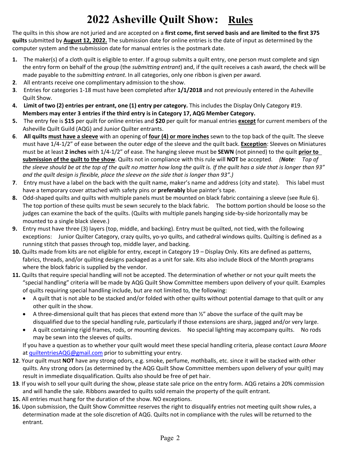## **2022 Asheville Quilt Show: Rules**

The quilts in this show are not juried and are accepted on a **first come, first served basis and are limited to the first 375 quilts** submitted by **August 12, 2022.** The submission date for online entries is the date of input as determined by the computer system and the submission date for manual entries is the postmark date.

- **1.** The maker(s) of a cloth quilt is eligible to enter. If a group submits a quilt entry, one person must complete and sign the entry form on behalf of the group (the *submitting entrant*) and, if the quilt receives a cash award, the check will be made payable to the *submitting entrant*. In all categories, only one ribbon is given per award.
- **2**. All entrants receive one complimentary admission to the show.
- **3**. Entries for categories 1-18 must have been completed after **1/1/2018** and not previously entered in the Asheville Quilt Show.
- **4. Limit of two (2) entries per entrant, one (1) entry per category.** This includes the Display Only Category #19. **Members may enter 3 entries if the third entry is in Category 17, AQG Member Category.**
- **5.** The entry fee is **\$15** per quilt for online entries and **\$20** per quilt for manual entries **except** for current members of the Asheville Quilt Guild (AQG) and Junior Quilter entrants.
- **6**. **All quilts must have a sleeve** with an opening of **four (4) or more inches** sewn to the top back of the quilt. The sleeve must have 1/4-1/2" of ease between the outer edge of the sleeve and the quilt back. **Exception**: Sleeves on Miniatures must be at least **2 inches** with 1/4-1/2" of ease. The hanging sleeve must be **SEWN** (not pinned) to the quilt **prior to submission of the quilt to the show**. Quilts not in compliance with this rule will **NOT** be accepted. *(Note: Top of*  the sleeve should be at the top of the quilt no matter how long the quilt is. If the quilt has a side that is longer than 93" *and the quilt design is flexible, place the sleeve on the side that is longer than 93".)*
- **7**. Entry must have a label on the back with the quilt name, maker's name and address (city and state). This label must have a temporary cover attached with safety pins or **preferably** blue painter's tape.
- **8.** Odd-shaped quilts and quilts with multiple panels must be mounted on black fabric containing a sleeve (see Rule 6). The top portion of these quilts must be sewn securely to the black fabric. The bottom portion should be loose so the judges can examine the back of the quilts. (Quilts with multiple panels hanging side-by-side horizontally may be mounted to a single black sleeve.)
- **9.** Entry must have three (3) layers (top, middle, and backing). Entry must be quilted, not tied, with the following exceptions: Junior Quilter Category, crazy quilts, yo-yo quilts, and cathedral windows quilts. Quilting is defined as a running stitch that passes through top, middle layer, and backing.
- **10.** Quilts made from kits are not eligible for entry, except in Category 19 Display Only. Kits are defined as patterns, fabrics, threads, and/or quilting designs packaged as a unit for sale. Kits also include Block of the Month programs where the block fabric is supplied by the vendor.
- **11.** Quilts that require special handling will not be accepted. The determination of whether or not your quilt meets the "special handling" criteria will be made by AQG Quilt Show Committee members upon delivery of your quilt. Examples of quilts requiring special handling include, but are not limited to, the following:
	- A quilt that is not able to be stacked and/or folded with other quilts without potential damage to that quilt or any other quilt in the show.
	- A three-dimensional quilt that has pieces that extend more than  $\frac{y}{x}$  above the surface of the quilt may be disqualified due to the special handling rule, particularly if those extensions are sharp, jagged and/or very large.
	- A quilt containing rigid frames, rods, or mounting devices. No special lighting may accompany quilts. No rods may be sewn into the sleeves of quilts.

If you have a question as to whether your quilt would meet these special handling criteria, please contact *Laura Moore* at [quiltentriesAQG@gmail.com](mailto:quiltentriesAQG@gmail.com) prior to submitting your entry.

- **12**. Your quilt must **NOT** have any strong odors, e.g. smoke, perfume, mothballs, etc. since it will be stacked with other quilts. Any strong odors (as determined by the AQG Quilt Show Committee members upon delivery of your quilt) may result in immediate disqualification. Quilts also should be free of pet hair.
- **13**. If you wish to sell your quilt during the show, please state sale price on the entry form. AQG retains a 20% commission and will handle the sale. Ribbons awarded to quilts sold remain the property of the quilt entrant.
- **15.** All entries must hang for the duration of the show. NO exceptions.
- **16.** Upon submission, the Quilt Show Committee reserves the right to disqualify entries not meeting quilt show rules, a determination made at the sole discretion of AQG. Quilts not in compliance with the rules will be returned to the entrant.